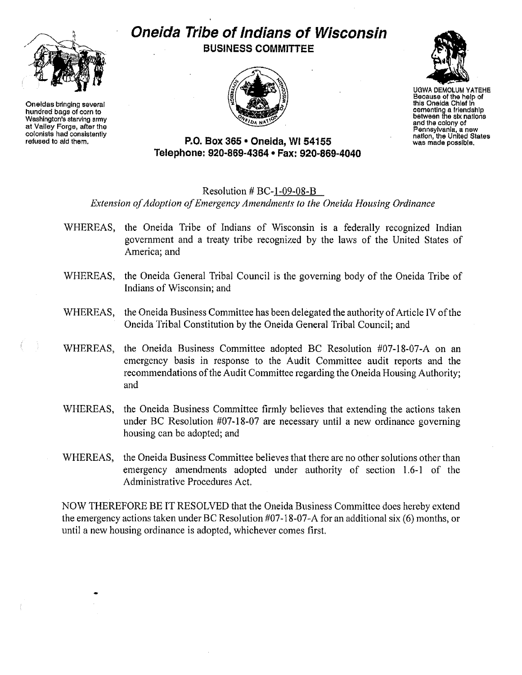

Oneidas bringing several hundred bags of corn to Washington's starving army at Valley Forge, atter the colonists had consistently refused to aid them.

## **Oneida Tribe ofIndians of Wisconsin BUSINESS COMMITTEE**





UGWA DEMOLUM YATEHE Because of the help of this Oneida Chief In cementing a friendshIp between the six nations and the colony of Pennsylvania, a new nation, the United States was made possible.

**P.o. Box 365· Oneida, WI 54155 Telephone: 920·869-4364· Fax: 920-869-4040**

## Resolution # BC-I-09-08-B *Extension ofAdoption ofEmergency Amendments to the Oneida Housing Ordinance*

- WHEREAS, the Oneida Tribe of Indians of Wisconsin is a federally recognized Indian government and a treaty tribe recognized by the laws of the United States of America; and
- WHEREAS, the Oneida General Tribal Council is the governing body of the Oneida Tribe of Indians of Wisconsin; and
- WHEREAS, the Oneida Business Committee has been delegated the authority of Article IV of the Oneida Tribal Constitution by the Oneida General Tribal Council; and
- WHEREAS, the Oneida Business Committee adopted BC Resolution #07-l8-07-A on an emergency basis in response to the Audit Committee audit reports and the recommendations of the Audit Committee regarding the Oneida Housing Authority; and
- WHEREAS, the Oneida Business Committee firmly believes that extending the actions taken under BC Resolution #07-18-07 are necessary until a new ordinance governing housing can be adopted; and
- WHEREAS, the Oneida Business Committee believes that there are no other solutions other than emergency amendments adopted under authority of section 1.6-1 of the Administrative Procedures Act.

NOW THEREFORE BE IT RESOLVED that the Oneida Business Committee does hereby extend the emergency actions taken under BC Resolution #07~ 18-07-A for an additional six (6) months, or until a new housing ordinance is adopted, whichever comes first.